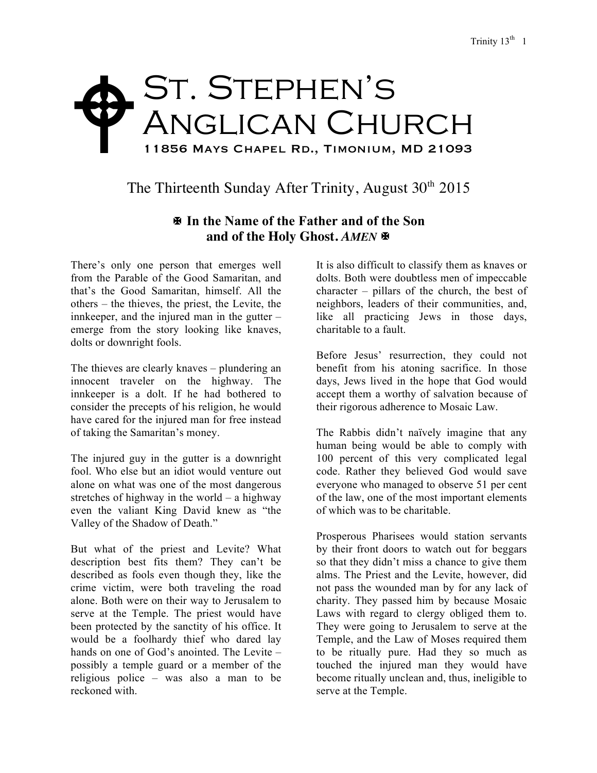## St. Stephen's ANGLICAN CHURCH 11856 Mays Chapel Rd., Timonium, MD 21093  $\blacklozenge$

The Thirteenth Sunday After Trinity, August  $30<sup>th</sup> 2015$ 

## X **In the Name of the Father and of the Son and of the Holy Ghost.** *AMEN* X

There's only one person that emerges well from the Parable of the Good Samaritan, and that's the Good Samaritan, himself. All the others – the thieves, the priest, the Levite, the innkeeper, and the injured man in the gutter – emerge from the story looking like knaves, dolts or downright fools.

The thieves are clearly knaves – plundering an innocent traveler on the highway. The innkeeper is a dolt. If he had bothered to consider the precepts of his religion, he would have cared for the injured man for free instead of taking the Samaritan's money.

The injured guy in the gutter is a downright fool. Who else but an idiot would venture out alone on what was one of the most dangerous stretches of highway in the world – a highway even the valiant King David knew as "the Valley of the Shadow of Death."

But what of the priest and Levite? What description best fits them? They can't be described as fools even though they, like the crime victim, were both traveling the road alone. Both were on their way to Jerusalem to serve at the Temple. The priest would have been protected by the sanctity of his office. It would be a foolhardy thief who dared lay hands on one of God's anointed. The Levite – possibly a temple guard or a member of the religious police – was also a man to be reckoned with.

It is also difficult to classify them as knaves or dolts. Both were doubtless men of impeccable character – pillars of the church, the best of neighbors, leaders of their communities, and, like all practicing Jews in those days, charitable to a fault.

Before Jesus' resurrection, they could not benefit from his atoning sacrifice. In those days, Jews lived in the hope that God would accept them a worthy of salvation because of their rigorous adherence to Mosaic Law.

The Rabbis didn't naïvely imagine that any human being would be able to comply with 100 percent of this very complicated legal code. Rather they believed God would save everyone who managed to observe 51 per cent of the law, one of the most important elements of which was to be charitable.

Prosperous Pharisees would station servants by their front doors to watch out for beggars so that they didn't miss a chance to give them alms. The Priest and the Levite, however, did not pass the wounded man by for any lack of charity. They passed him by because Mosaic Laws with regard to clergy obliged them to. They were going to Jerusalem to serve at the Temple, and the Law of Moses required them to be ritually pure. Had they so much as touched the injured man they would have become ritually unclean and, thus, ineligible to serve at the Temple.